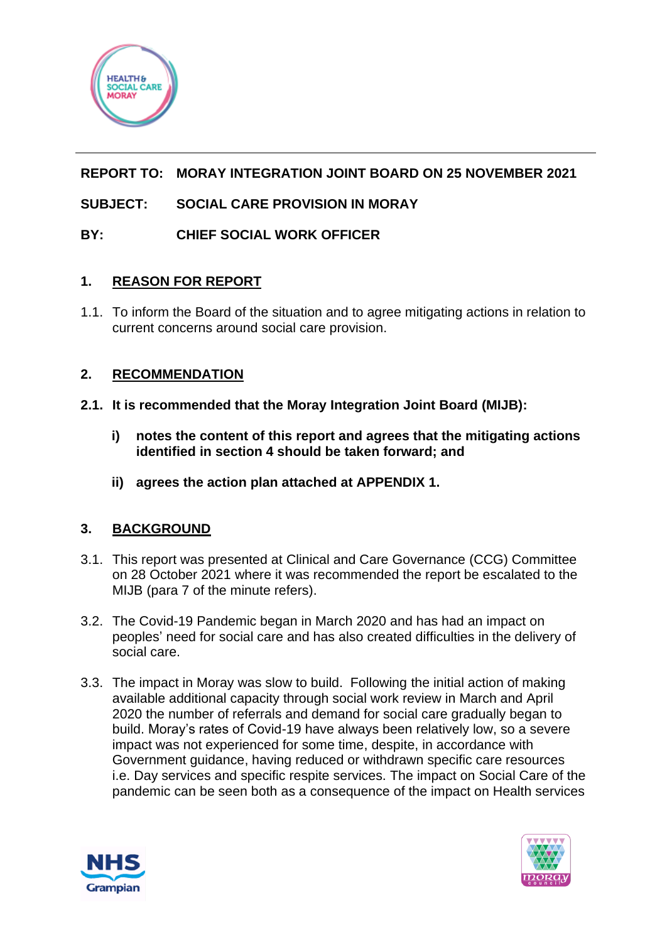

# **REPORT TO: MORAY INTEGRATION JOINT BOARD ON 25 NOVEMBER 2021**

# **SUBJECT: SOCIAL CARE PROVISION IN MORAY**

# **BY: CHIEF SOCIAL WORK OFFICER**

### **1. REASON FOR REPORT**

1.1. To inform the Board of the situation and to agree mitigating actions in relation to current concerns around social care provision.

### **2. RECOMMENDATION**

- **2.1. It is recommended that the Moray Integration Joint Board (MIJB):**
	- **i) notes the content of this report and agrees that the mitigating actions identified in section 4 should be taken forward; and**
	- **ii) agrees the action plan attached at APPENDIX 1.**

# **3. BACKGROUND**

- 3.1. This report was presented at Clinical and Care Governance (CCG) Committee on 28 October 2021 where it was recommended the report be escalated to the MIJB (para 7 of the minute refers).
- 3.2. The Covid-19 Pandemic began in March 2020 and has had an impact on peoples' need for social care and has also created difficulties in the delivery of social care.
- 3.3. The impact in Moray was slow to build. Following the initial action of making available additional capacity through social work review in March and April 2020 the number of referrals and demand for social care gradually began to build. Moray's rates of Covid-19 have always been relatively low, so a severe impact was not experienced for some time, despite, in accordance with Government guidance, having reduced or withdrawn specific care resources i.e. Day services and specific respite services. The impact on Social Care of the pandemic can be seen both as a consequence of the impact on Health services



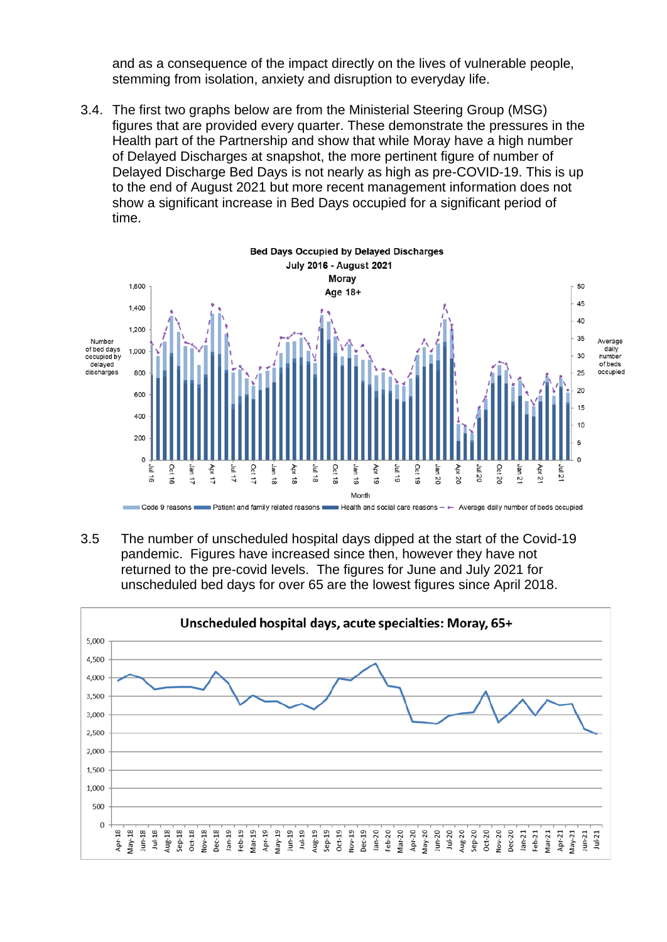and as a consequence of the impact directly on the lives of vulnerable people, stemming from isolation, anxiety and disruption to everyday life.

3.4. The first two graphs below are from the Ministerial Steering Group (MSG) figures that are provided every quarter. These demonstrate the pressures in the Health part of the Partnership and show that while Moray have a high number of Delayed Discharges at snapshot, the more pertinent figure of number of Delayed Discharge Bed Days is not nearly as high as pre-COVID-19. This is up to the end of August 2021 but more recent management information does not show a significant increase in Bed Days occupied for a significant period of time.



3.5 The number of unscheduled hospital days dipped at the start of the Covid-19 pandemic. Figures have increased since then, however they have not returned to the pre-covid levels. The figures for June and July 2021 for unscheduled bed days for over 65 are the lowest figures since April 2018.

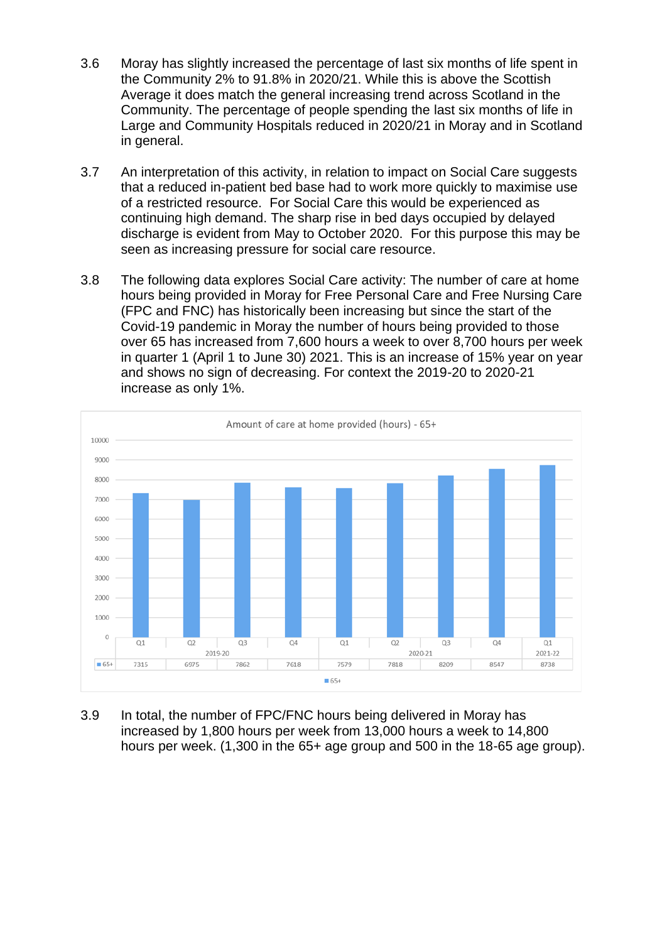- 3.6 Moray has slightly increased the percentage of last six months of life spent in the Community 2% to 91.8% in 2020/21. While this is above the Scottish Average it does match the general increasing trend across Scotland in the Community. The percentage of people spending the last six months of life in Large and Community Hospitals reduced in 2020/21 in Moray and in Scotland in general.
- 3.7 An interpretation of this activity, in relation to impact on Social Care suggests that a reduced in-patient bed base had to work more quickly to maximise use of a restricted resource. For Social Care this would be experienced as continuing high demand. The sharp rise in bed days occupied by delayed discharge is evident from May to October 2020. For this purpose this may be seen as increasing pressure for social care resource.
- 3.8 The following data explores Social Care activity: The number of care at home hours being provided in Moray for Free Personal Care and Free Nursing Care (FPC and FNC) has historically been increasing but since the start of the Covid-19 pandemic in Moray the number of hours being provided to those over 65 has increased from 7,600 hours a week to over 8,700 hours per week in quarter 1 (April 1 to June 30) 2021. This is an increase of 15% year on year and shows no sign of decreasing. For context the 2019-20 to 2020-21 increase as only 1%.



3.9 In total, the number of FPC/FNC hours being delivered in Moray has increased by 1,800 hours per week from 13,000 hours a week to 14,800 hours per week. (1,300 in the 65+ age group and 500 in the 18-65 age group).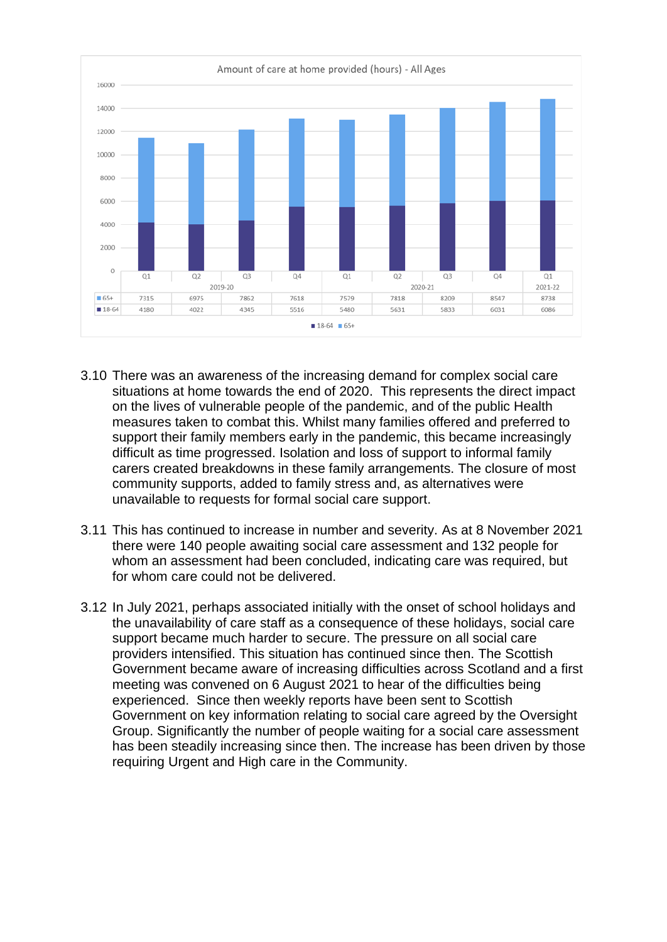

- 3.10 There was an awareness of the increasing demand for complex social care situations at home towards the end of 2020. This represents the direct impact on the lives of vulnerable people of the pandemic, and of the public Health measures taken to combat this. Whilst many families offered and preferred to support their family members early in the pandemic, this became increasingly difficult as time progressed. Isolation and loss of support to informal family carers created breakdowns in these family arrangements. The closure of most community supports, added to family stress and, as alternatives were unavailable to requests for formal social care support.
- 3.11 This has continued to increase in number and severity. As at 8 November 2021 there were 140 people awaiting social care assessment and 132 people for whom an assessment had been concluded, indicating care was required, but for whom care could not be delivered.
- 3.12 In July 2021, perhaps associated initially with the onset of school holidays and the unavailability of care staff as a consequence of these holidays, social care support became much harder to secure. The pressure on all social care providers intensified. This situation has continued since then. The Scottish Government became aware of increasing difficulties across Scotland and a first meeting was convened on 6 August 2021 to hear of the difficulties being experienced. Since then weekly reports have been sent to Scottish Government on key information relating to social care agreed by the Oversight Group. Significantly the number of people waiting for a social care assessment has been steadily increasing since then. The increase has been driven by those requiring Urgent and High care in the Community.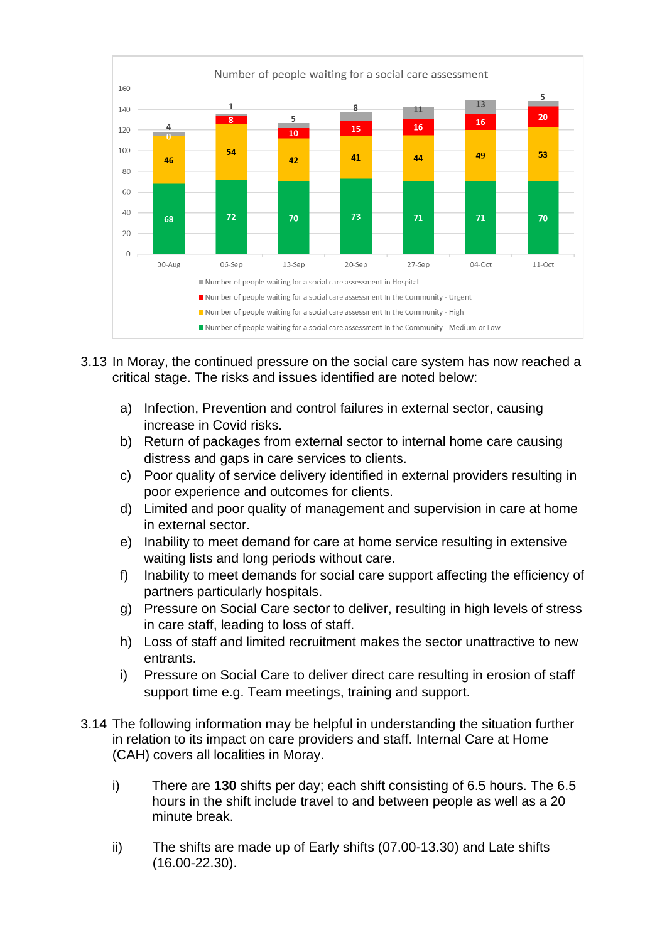

- 3.13 In Moray, the continued pressure on the social care system has now reached a critical stage. The risks and issues identified are noted below:
	- a) Infection, Prevention and control failures in external sector, causing increase in Covid risks.
	- b) Return of packages from external sector to internal home care causing distress and gaps in care services to clients.
	- c) Poor quality of service delivery identified in external providers resulting in poor experience and outcomes for clients.
	- d) Limited and poor quality of management and supervision in care at home in external sector.
	- e) Inability to meet demand for care at home service resulting in extensive waiting lists and long periods without care.
	- f) Inability to meet demands for social care support affecting the efficiency of partners particularly hospitals.
	- g) Pressure on Social Care sector to deliver, resulting in high levels of stress in care staff, leading to loss of staff.
	- h) Loss of staff and limited recruitment makes the sector unattractive to new entrants.
	- i) Pressure on Social Care to deliver direct care resulting in erosion of staff support time e.g. Team meetings, training and support.
- 3.14 The following information may be helpful in understanding the situation further in relation to its impact on care providers and staff. Internal Care at Home (CAH) covers all localities in Moray.
	- i) There are **130** shifts per day; each shift consisting of 6.5 hours. The 6.5 hours in the shift include travel to and between people as well as a 20 minute break.
	- ii) The shifts are made up of Early shifts (07.00-13.30) and Late shifts (16.00-22.30).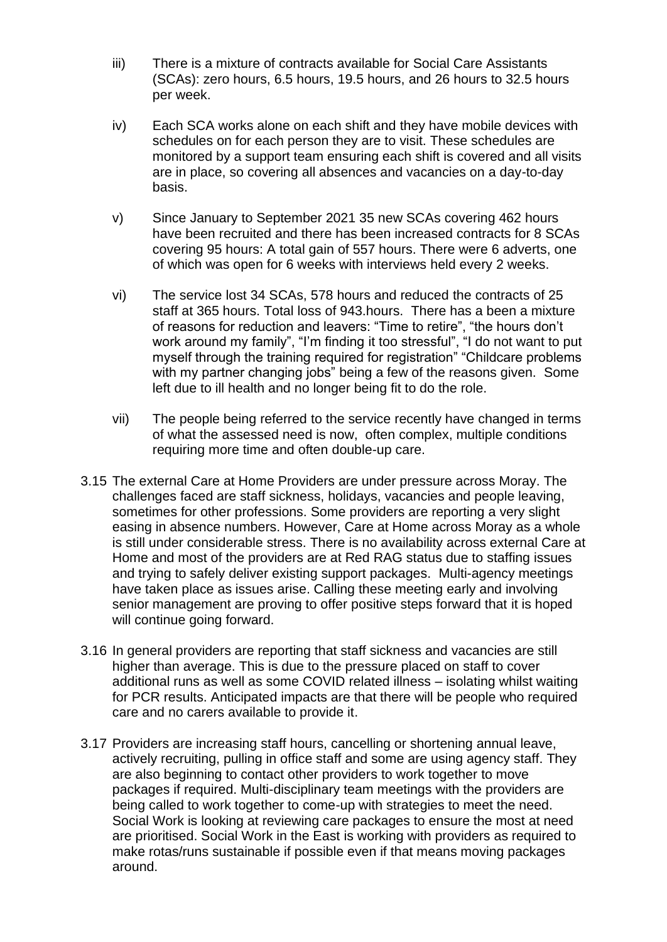- iii) There is a mixture of contracts available for Social Care Assistants (SCAs): zero hours, 6.5 hours, 19.5 hours, and 26 hours to 32.5 hours per week.
- iv) Each SCA works alone on each shift and they have mobile devices with schedules on for each person they are to visit. These schedules are monitored by a support team ensuring each shift is covered and all visits are in place, so covering all absences and vacancies on a day-to-day basis.
- v) Since January to September 2021 35 new SCAs covering 462 hours have been recruited and there has been increased contracts for 8 SCAs covering 95 hours: A total gain of 557 hours. There were 6 adverts, one of which was open for 6 weeks with interviews held every 2 weeks.
- vi) The service lost 34 SCAs, 578 hours and reduced the contracts of 25 staff at 365 hours. Total loss of 943.hours. There has a been a mixture of reasons for reduction and leavers: "Time to retire", "the hours don't work around my family", "I'm finding it too stressful", "I do not want to put myself through the training required for registration" "Childcare problems with my partner changing jobs" being a few of the reasons given. Some left due to ill health and no longer being fit to do the role.
- vii) The people being referred to the service recently have changed in terms of what the assessed need is now, often complex, multiple conditions requiring more time and often double-up care.
- 3.15 The external Care at Home Providers are under pressure across Moray. The challenges faced are staff sickness, holidays, vacancies and people leaving, sometimes for other professions. Some providers are reporting a very slight easing in absence numbers. However, Care at Home across Moray as a whole is still under considerable stress. There is no availability across external Care at Home and most of the providers are at Red RAG status due to staffing issues and trying to safely deliver existing support packages. Multi-agency meetings have taken place as issues arise. Calling these meeting early and involving senior management are proving to offer positive steps forward that it is hoped will continue going forward.
- 3.16 In general providers are reporting that staff sickness and vacancies are still higher than average. This is due to the pressure placed on staff to cover additional runs as well as some COVID related illness – isolating whilst waiting for PCR results. Anticipated impacts are that there will be people who required care and no carers available to provide it.
- 3.17 Providers are increasing staff hours, cancelling or shortening annual leave, actively recruiting, pulling in office staff and some are using agency staff. They are also beginning to contact other providers to work together to move packages if required. Multi-disciplinary team meetings with the providers are being called to work together to come-up with strategies to meet the need. Social Work is looking at reviewing care packages to ensure the most at need are prioritised. Social Work in the East is working with providers as required to make rotas/runs sustainable if possible even if that means moving packages around.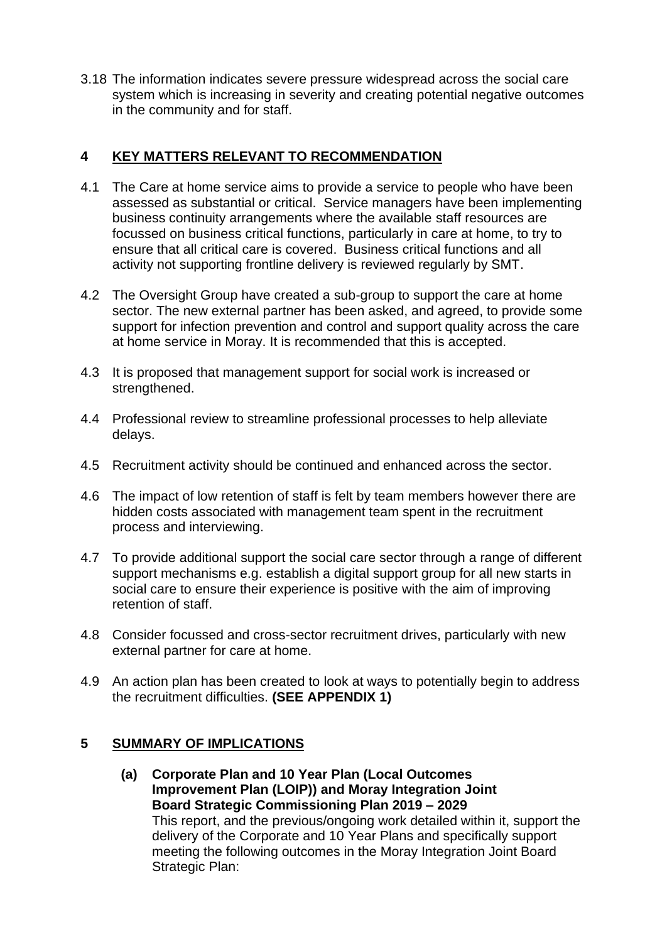3.18 The information indicates severe pressure widespread across the social care system which is increasing in severity and creating potential negative outcomes in the community and for staff.

# **4 KEY MATTERS RELEVANT TO RECOMMENDATION**

- 4.1 The Care at home service aims to provide a service to people who have been assessed as substantial or critical. Service managers have been implementing business continuity arrangements where the available staff resources are focussed on business critical functions, particularly in care at home, to try to ensure that all critical care is covered. Business critical functions and all activity not supporting frontline delivery is reviewed regularly by SMT.
- 4.2 The Oversight Group have created a sub-group to support the care at home sector. The new external partner has been asked, and agreed, to provide some support for infection prevention and control and support quality across the care at home service in Moray. It is recommended that this is accepted.
- 4.3 It is proposed that management support for social work is increased or strengthened.
- 4.4 Professional review to streamline professional processes to help alleviate delays.
- 4.5 Recruitment activity should be continued and enhanced across the sector.
- 4.6 The impact of low retention of staff is felt by team members however there are hidden costs associated with management team spent in the recruitment process and interviewing.
- 4.7 To provide additional support the social care sector through a range of different support mechanisms e.g. establish a digital support group for all new starts in social care to ensure their experience is positive with the aim of improving retention of staff.
- 4.8 Consider focussed and cross-sector recruitment drives, particularly with new external partner for care at home.
- 4.9 An action plan has been created to look at ways to potentially begin to address the recruitment difficulties. **(SEE APPENDIX 1)**

### **5 SUMMARY OF IMPLICATIONS**

**(a) Corporate Plan and 10 Year Plan (Local Outcomes Improvement Plan (LOIP)) and Moray Integration Joint Board Strategic Commissioning Plan 2019 – 2029** This report, and the previous/ongoing work detailed within it, support the delivery of the Corporate and 10 Year Plans and specifically support meeting the following outcomes in the Moray Integration Joint Board Strategic Plan: